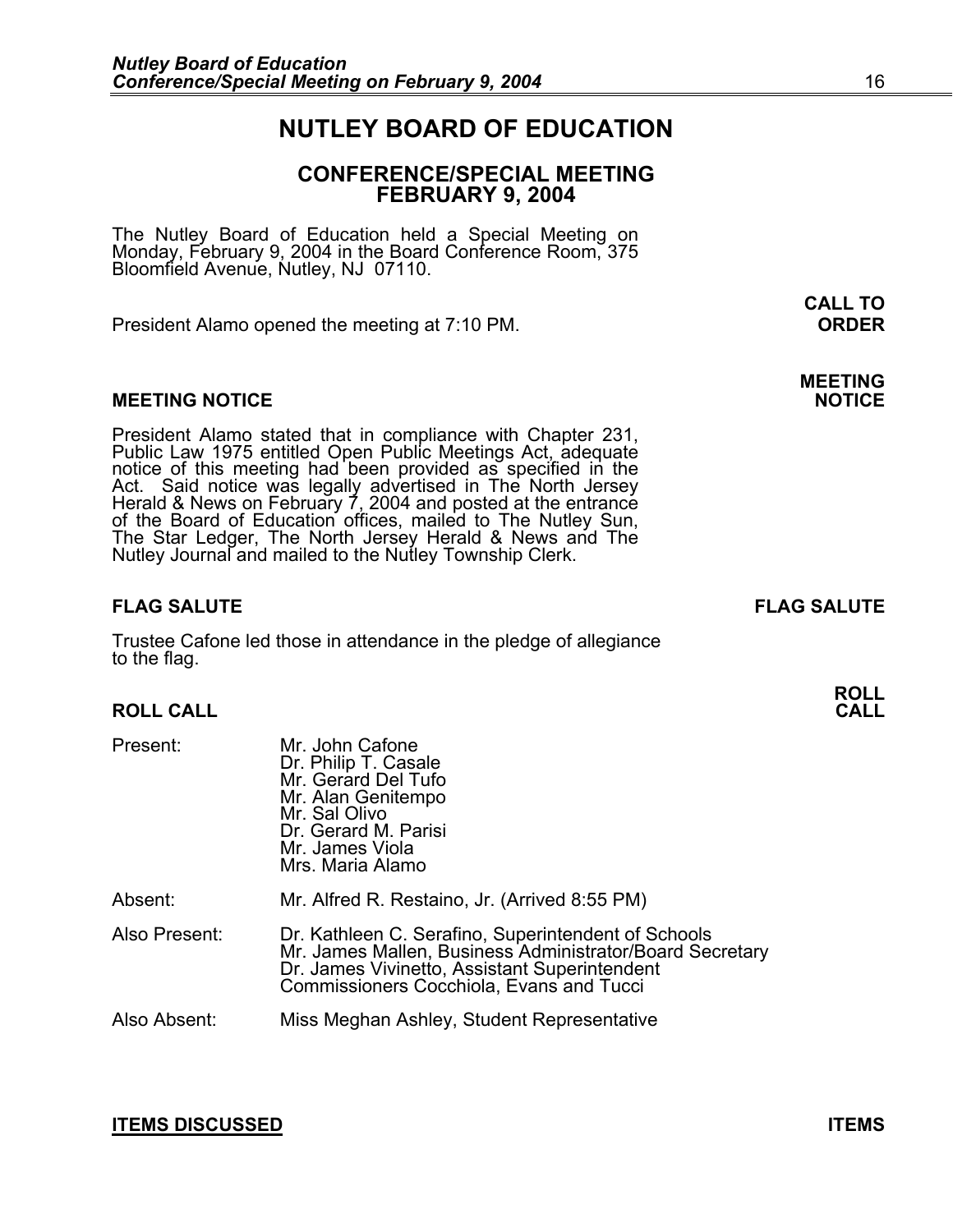# **NUTLEY BOARD OF EDUCATION**

# **CONFERENCE/SPECIAL MEETING FEBRUARY 9, 2004**

**CALL TO** 

The Nutley Board of Education held a Special Meeting on Monday, February 9, 2004 in the Board Conference Room, 375 Bloomfield Avenue, Nutley, NJ 07110.

President Alamo opened the meeting at 7:10 PM. **ORDER**

#### **MEETING NOTICE**

President Alamo stated that in compliance with Chapter 231,<br>Public Law 1975 entitled Open Public Meetings Act, adequate<br>notice of this meeting had been provided as specified in the<br>Act. Said notice was legally advertised i

## **FLAG SALUTE FLAG SALUTE**

Trustee Cafone led those in attendance in the pledge of allegiance to the flag.

#### **ROLL CALL**

| Present:      | Mr. John Cafone<br>Dr. Philip T. Casale<br>Mr. Gerard Del Tufo<br>Mr. Alan Genitempo<br>Mr. Sal Olivo<br>Dr. Gerard M. Parisi<br>Mr. James Viola<br>Mrs. Maria Alamo                                                |
|---------------|---------------------------------------------------------------------------------------------------------------------------------------------------------------------------------------------------------------------|
| Absent:       | Mr. Alfred R. Restaino, Jr. (Arrived 8:55 PM)                                                                                                                                                                       |
| Also Present: | Dr. Kathleen C. Serafino, Superintendent of Schools<br>Mr. James Mallen, Business Administrator/Board Secretary<br>Dr. James Vivinetto, Assistant Superintendent<br><b>Commissioners Cocchiola, Evans and Tucci</b> |
| Also Absent:  | Miss Meghan Ashley, Student Representative                                                                                                                                                                          |

**ROLL** 

**MEETING**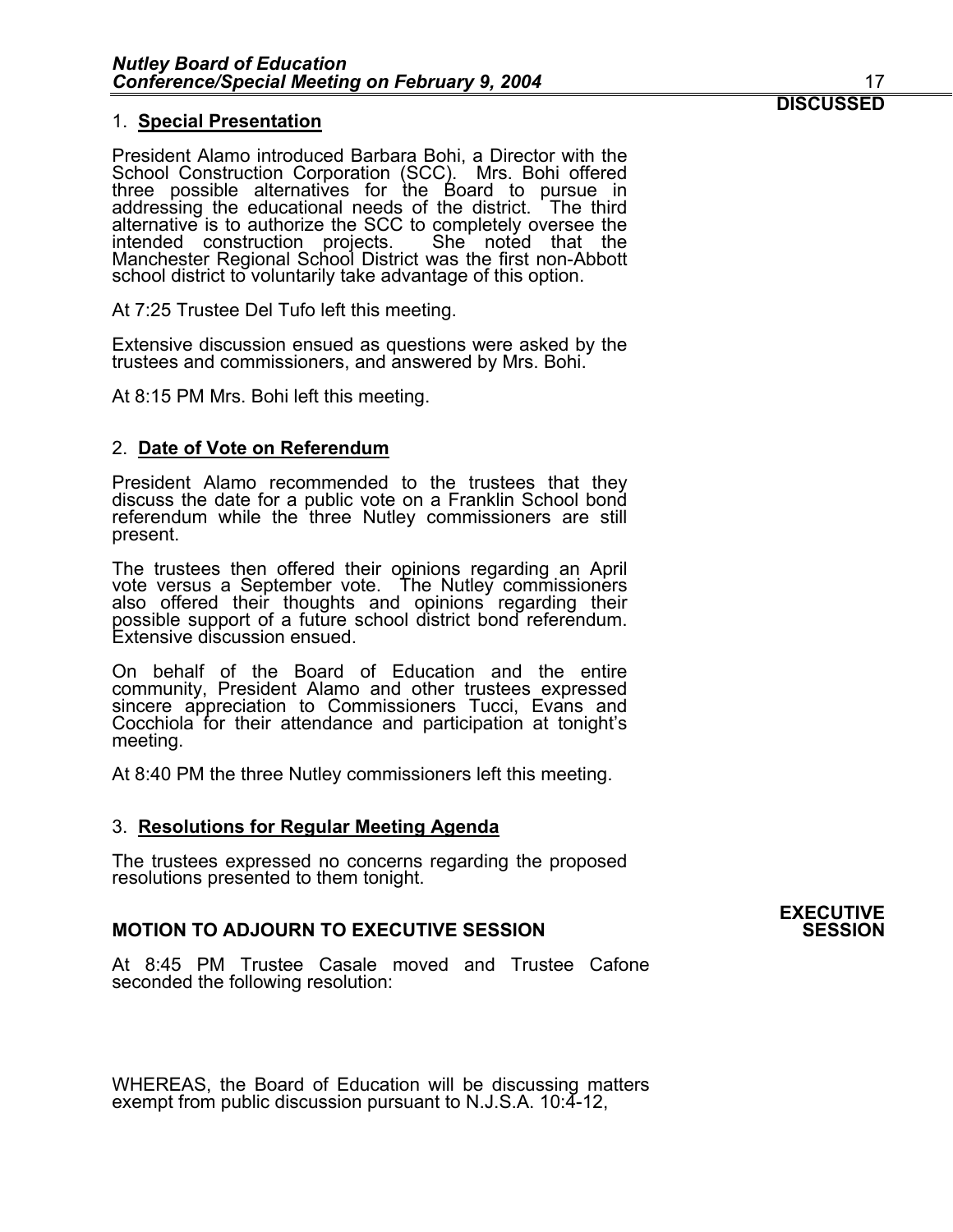#### 1. **Special Presentation**

President Alamo introduced Barbara Bohi, a Director with the School Construction Corporation (SCC). Mrs. Bohi offered three possible alternatives for the Board to pursue in<br>addressing the educational needs of the district. The third alternative is to authorize the SCC to completely oversee the<br>intended construction projects. She noted that the Manchester Regional School District was the first non-Abbott school district to voluntarily take advantage of this option.

At 7:25 Trustee Del Tufo left this meeting.

Extensive discussion ensued as questions were asked by the trustees and commissioners, and answered by Mrs. Bohi.

At 8:15 PM Mrs. Bohi left this meeting.

### 2. **Date of Vote on Referendum**

President Alamo recommended to the trustees that they discuss the date for a public vote on a Franklin School bond referendum while the three Nutley commissioners are still present.

The trustees then offered their opinions regarding an April vote versus a September vote. The Nutley commissioners also offered their thoughts and opinions regarding their possible support of a future school district bond Extensive discussion ensued.

On behalf of the Board of Education and the entire community, President Alamo and other trustees expressed sincere appreciation to Commissioners Tucci, Evans and Cocchiola for their attendance and participation at tonight's meeting.

At 8:40 PM the three Nutley commissioners left this meeting.

### 3. **Resolutions for Regular Meeting Agenda**

The trustees expressed no concerns regarding the proposed resolutions presented to them tonight.

# **MOTION TO ADJOURN TO EXECUTIVE SESSION**

At 8:45 PM Trustee Casale moved and Trustee Cafone seconded the following resolution:

WHEREAS, the Board of Education will be discussing matters exempt from public discussion pursuant to N.J.S.A. 10:4-12,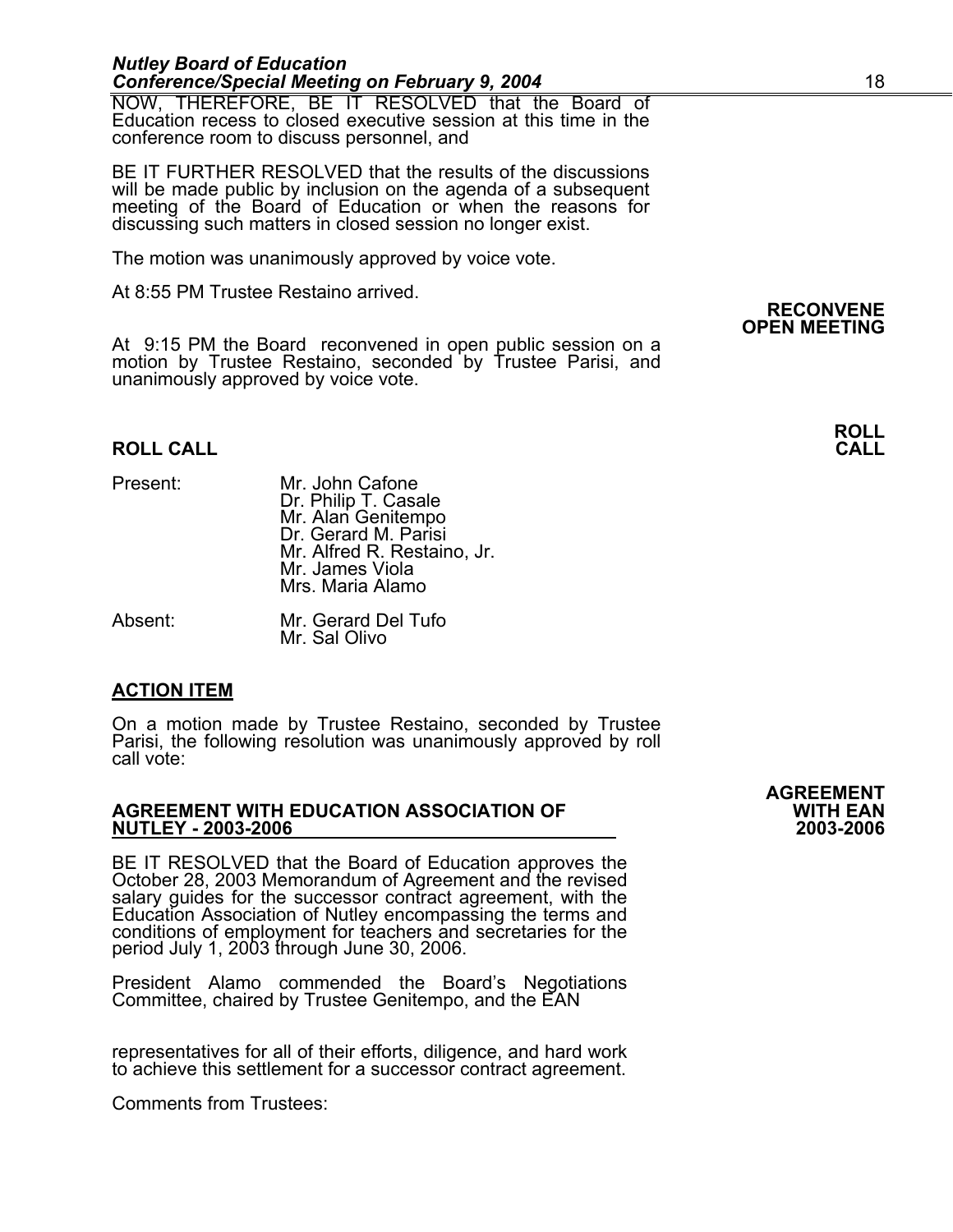#### *Nutley Board of Education Conference/Special Meeting on February 9, 2004* 18

NOW, THEREFORE, BE IT RESOLVED that the Board of Education recess to closed executive session at this time in the conference room to discuss personnel, and

BE IT FURTHER RESOLVED that the results of the discussions will be made public by inclusion on the agenda of a subsequent meeting of the Board of Education or when the reasons for discussing such matters in closed session no longer exist.

The motion was unanimously approved by voice vote.

At 8:55 PM Trustee Restaino arrived.

At 9:15 PM the Board reconvened in open public session on a motion by Trustee Restaino, seconded by Trustee Parisi, and unanimously approved by voice vote.

#### **ROLL CALL**

Present: Mr. John Cafone Dr. Philip T. Casale<br>Mr. Alan Genitempo Dr. Gerard M. Parisi Mr. Alfred R. Restaino, Jr. Mr. James Viola Mrs. Maria Alamo

Absent: Mr. Gerard Del Tufo Mr. Sal Olivo

### **ACTION ITEM**

On a motion made by Trustee Restaino, seconded by Trustee Parisi, the following resolution was unanimously approved by roll call vote:

#### **AGREEMENT WITH EDUCATION ASSOCIATION OF WITH EAN NUTLEY - 2003-2006 2003-2006**

BE IT RESOLVED that the Board of Education approves the<br>October 28, 2003 Memorandum of Agreement and the revised<br>salary guides for the successor contract agreement, with the<br>Education Association of Nutley encompassing the period July 1, 2003 through June 30, 2006.

President Alamo commended the Board's Negotiations Committee, chaired by Trustee Genitempo, and the EAN

representatives for all of their efforts, diligence, and hard work to achieve this settlement for a successor contract agreement.

Comments from Trustees:

**AGREEMENT** 

**RECONVENE OPEN MEETING** 

**ROLL**